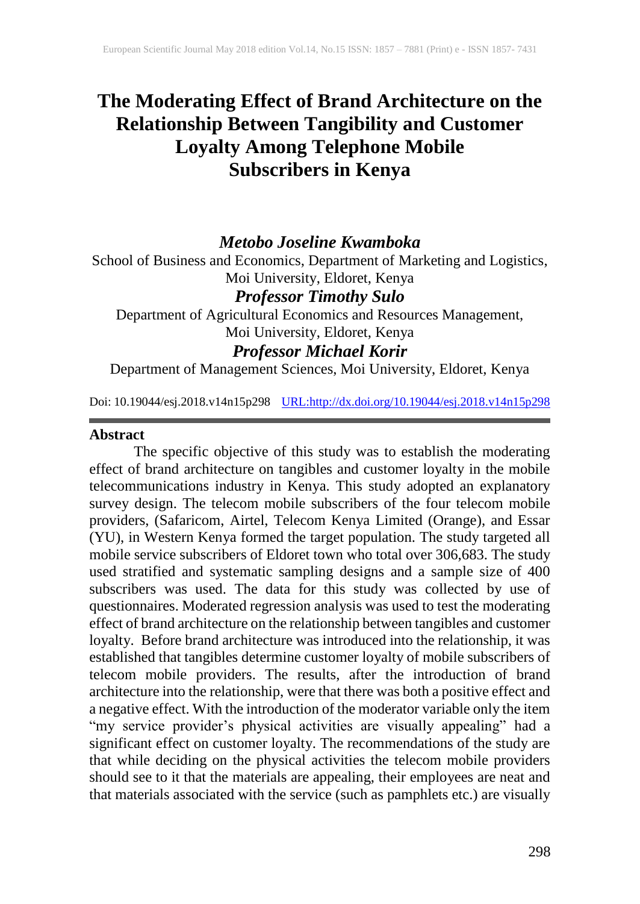# **The Moderating Effect of Brand Architecture on the Relationship Between Tangibility and Customer Loyalty Among Telephone Mobile Subscribers in Kenya**

# *Metobo Joseline Kwamboka*

School of Business and Economics, Department of Marketing and Logistics, Moi University, Eldoret, Kenya

# *Professor Timothy Sulo*

Department of Agricultural Economics and Resources Management, Moi University, Eldoret, Kenya

# *Professor Michael Korir*

Department of Management Sciences, Moi University, Eldoret, Kenya

Doi: 10.19044/esj.2018.v14n15p298 [URL:http://dx.doi.org/10.19044/esj.2018.v14n15p298](http://dx.doi.org/10.19044/esj.2018.v14n15p298)

#### **Abstract**

The specific objective of this study was to establish the moderating effect of brand architecture on tangibles and customer loyalty in the mobile telecommunications industry in Kenya. This study adopted an explanatory survey design. The telecom mobile subscribers of the four telecom mobile providers, (Safaricom, Airtel, Telecom Kenya Limited (Orange), and Essar (YU), in Western Kenya formed the target population. The study targeted all mobile service subscribers of Eldoret town who total over 306,683. The study used stratified and systematic sampling designs and a sample size of 400 subscribers was used. The data for this study was collected by use of questionnaires. Moderated regression analysis was used to test the moderating effect of brand architecture on the relationship between tangibles and customer loyalty. Before brand architecture was introduced into the relationship, it was established that tangibles determine customer loyalty of mobile subscribers of telecom mobile providers. The results, after the introduction of brand architecture into the relationship, were that there was both a positive effect and a negative effect. With the introduction of the moderator variable only the item "my service provider's physical activities are visually appealing" had a significant effect on customer loyalty. The recommendations of the study are that while deciding on the physical activities the telecom mobile providers should see to it that the materials are appealing, their employees are neat and that materials associated with the service (such as pamphlets etc.) are visually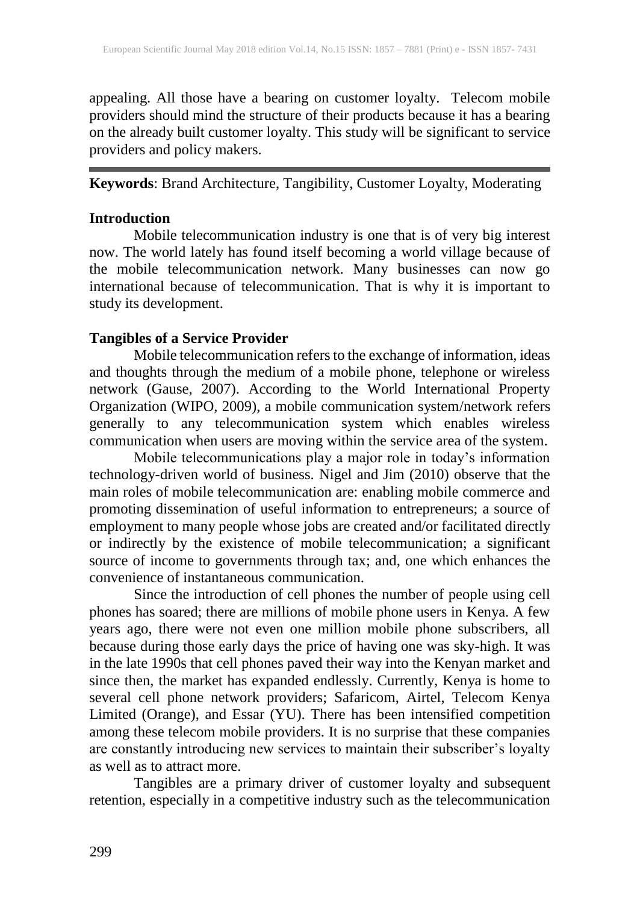appealing. All those have a bearing on customer loyalty. Telecom mobile providers should mind the structure of their products because it has a bearing on the already built customer loyalty. This study will be significant to service providers and policy makers.

# **Keywords**: Brand Architecture, Tangibility, Customer Loyalty, Moderating

# **Introduction**

Mobile telecommunication industry is one that is of very big interest now. The world lately has found itself becoming a world village because of the mobile telecommunication network. Many businesses can now go international because of telecommunication. That is why it is important to study its development.

# **Tangibles of a Service Provider**

Mobile telecommunication refers to the exchange of information, ideas and thoughts through the medium of a mobile phone, telephone or wireless network (Gause, 2007). According to the World International Property Organization (WIPO, 2009), a mobile communication system/network refers generally to any telecommunication system which enables wireless communication when users are moving within the service area of the system.

Mobile telecommunications play a major role in today's information technology-driven world of business. Nigel and Jim (2010) observe that the main roles of mobile telecommunication are: enabling mobile commerce and promoting dissemination of useful information to entrepreneurs; a source of employment to many people whose jobs are created and/or facilitated directly or indirectly by the existence of mobile telecommunication; a significant source of income to governments through tax; and, one which enhances the convenience of instantaneous communication.

Since the introduction of cell phones the number of people using cell phones has soared; there are millions of mobile phone users in Kenya. A few years ago, there were not even one million mobile phone subscribers, all because during those early days the price of having one was sky-high. It was in the late 1990s that cell phones paved their way into the Kenyan market and since then, the market has expanded endlessly. Currently, Kenya is home to several cell phone network providers; Safaricom, Airtel, Telecom Kenya Limited (Orange), and Essar (YU). There has been intensified competition among these telecom mobile providers. It is no surprise that these companies are constantly introducing new services to maintain their subscriber's loyalty as well as to attract more.

Tangibles are a primary driver of customer loyalty and subsequent retention, especially in a competitive industry such as the telecommunication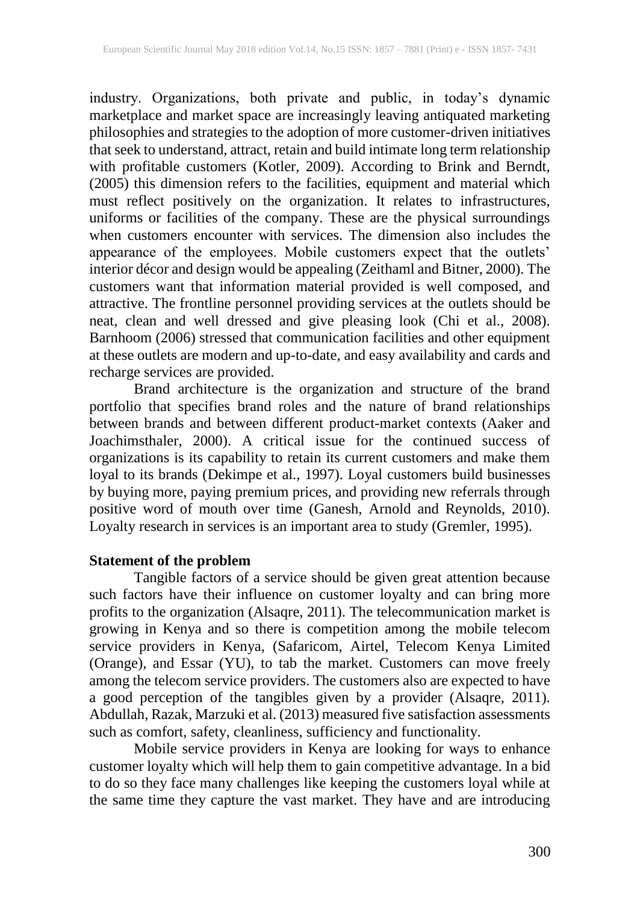industry. Organizations, both private and public, in today's dynamic marketplace and market space are increasingly leaving antiquated marketing philosophies and strategies to the adoption of more customer-driven initiatives that seek to understand, attract, retain and build intimate long term relationship with profitable customers (Kotler, 2009). According to Brink and Berndt, (2005) this dimension refers to the facilities, equipment and material which must reflect positively on the organization. It relates to infrastructures, uniforms or facilities of the company. These are the physical surroundings when customers encounter with services. The dimension also includes the appearance of the employees. Mobile customers expect that the outlets' interior décor and design would be appealing (Zeithaml and Bitner, 2000). The customers want that information material provided is well composed, and attractive. The frontline personnel providing services at the outlets should be neat, clean and well dressed and give pleasing look (Chi et al., 2008). Barnhoom (2006) stressed that communication facilities and other equipment at these outlets are modern and up-to-date, and easy availability and cards and recharge services are provided.

Brand architecture is the organization and structure of the brand portfolio that specifies brand roles and the nature of brand relationships between brands and between different product-market contexts (Aaker and Joachimsthaler, 2000). A critical issue for the continued success of organizations is its capability to retain its current customers and make them loyal to its brands (Dekimpe et al., 1997). Loyal customers build businesses by buying more, paying premium prices, and providing new referrals through positive word of mouth over time (Ganesh, Arnold and Reynolds, 2010). Loyalty research in services is an important area to study (Gremler, 1995).

### **Statement of the problem**

Tangible factors of a service should be given great attention because such factors have their influence on customer loyalty and can bring more profits to the organization (Alsaqre, 2011). The telecommunication market is growing in Kenya and so there is competition among the mobile telecom service providers in Kenya, (Safaricom, Airtel, Telecom Kenya Limited (Orange), and Essar (YU), to tab the market. Customers can move freely among the telecom service providers. The customers also are expected to have a good perception of the tangibles given by a provider (Alsaqre, 2011). Abdullah, Razak, Marzuki et al. (2013) measured five satisfaction assessments such as comfort, safety, cleanliness, sufficiency and functionality.

Mobile service providers in Kenya are looking for ways to enhance customer loyalty which will help them to gain competitive advantage. In a bid to do so they face many challenges like keeping the customers loyal while at the same time they capture the vast market. They have and are introducing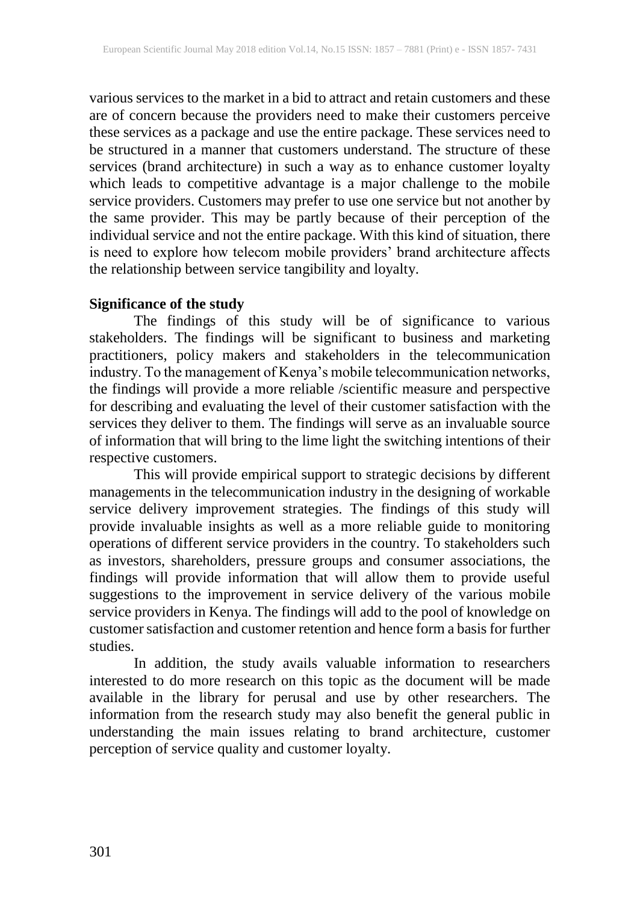various services to the market in a bid to attract and retain customers and these are of concern because the providers need to make their customers perceive these services as a package and use the entire package. These services need to be structured in a manner that customers understand. The structure of these services (brand architecture) in such a way as to enhance customer loyalty which leads to competitive advantage is a major challenge to the mobile service providers. Customers may prefer to use one service but not another by the same provider. This may be partly because of their perception of the individual service and not the entire package. With this kind of situation, there is need to explore how telecom mobile providers' brand architecture affects the relationship between service tangibility and loyalty.

#### **Significance of the study**

The findings of this study will be of significance to various stakeholders. The findings will be significant to business and marketing practitioners, policy makers and stakeholders in the telecommunication industry. To the management of Kenya's mobile telecommunication networks, the findings will provide a more reliable /scientific measure and perspective for describing and evaluating the level of their customer satisfaction with the services they deliver to them. The findings will serve as an invaluable source of information that will bring to the lime light the switching intentions of their respective customers.

This will provide empirical support to strategic decisions by different managements in the telecommunication industry in the designing of workable service delivery improvement strategies. The findings of this study will provide invaluable insights as well as a more reliable guide to monitoring operations of different service providers in the country. To stakeholders such as investors, shareholders, pressure groups and consumer associations, the findings will provide information that will allow them to provide useful suggestions to the improvement in service delivery of the various mobile service providers in Kenya. The findings will add to the pool of knowledge on customer satisfaction and customer retention and hence form a basis for further studies.

In addition, the study avails valuable information to researchers interested to do more research on this topic as the document will be made available in the library for perusal and use by other researchers. The information from the research study may also benefit the general public in understanding the main issues relating to brand architecture, customer perception of service quality and customer loyalty.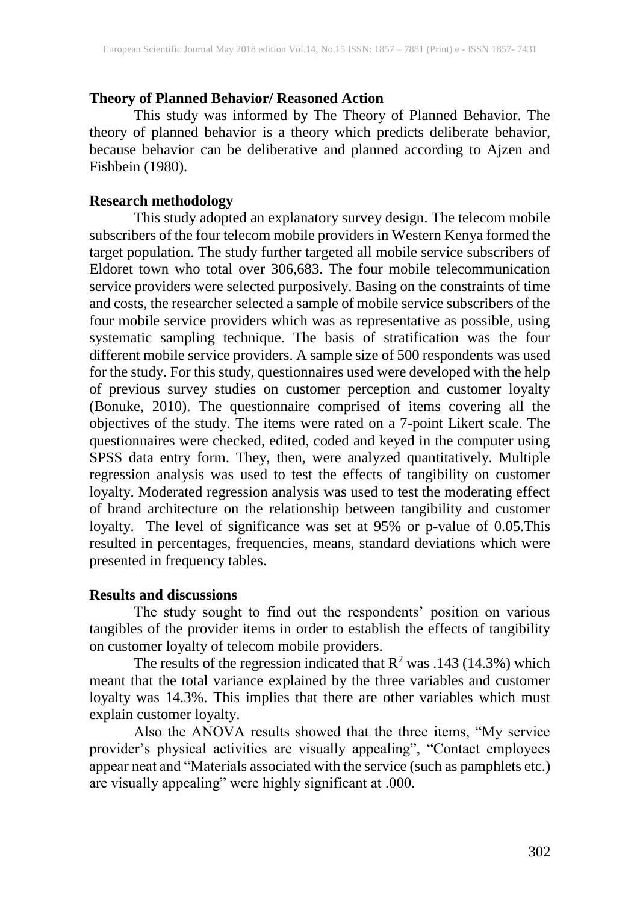# **Theory of Planned Behavior/ Reasoned Action**

This study was informed by The Theory of Planned Behavior. The theory of planned behavior is a theory which predicts deliberate behavior, because behavior can be deliberative and planned according to Ajzen and Fishbein (1980).

# **Research methodology**

This study adopted an explanatory survey design. The telecom mobile subscribers of the four telecom mobile providers in Western Kenya formed the target population. The study further targeted all mobile service subscribers of Eldoret town who total over 306,683. The four mobile telecommunication service providers were selected purposively. Basing on the constraints of time and costs, the researcher selected a sample of mobile service subscribers of the four mobile service providers which was as representative as possible, using systematic sampling technique. The basis of stratification was the four different mobile service providers. A sample size of 500 respondents was used for the study. For this study, questionnaires used were developed with the help of previous survey studies on customer perception and customer loyalty (Bonuke, 2010). The questionnaire comprised of items covering all the objectives of the study. The items were rated on a 7-point Likert scale. The questionnaires were checked, edited, coded and keyed in the computer using SPSS data entry form. They, then, were analyzed quantitatively. Multiple regression analysis was used to test the effects of tangibility on customer loyalty. Moderated regression analysis was used to test the moderating effect of brand architecture on the relationship between tangibility and customer loyalty. The level of significance was set at 95% or p-value of 0.05.This resulted in percentages, frequencies, means, standard deviations which were presented in frequency tables.

#### **Results and discussions**

The study sought to find out the respondents' position on various tangibles of the provider items in order to establish the effects of tangibility on customer loyalty of telecom mobile providers.

The results of the regression indicated that  $R^2$  was .143 (14.3%) which meant that the total variance explained by the three variables and customer loyalty was 14.3%. This implies that there are other variables which must explain customer loyalty.

Also the ANOVA results showed that the three items, "My service provider's physical activities are visually appealing", "Contact employees appear neat and "Materials associated with the service (such as pamphlets etc.) are visually appealing" were highly significant at .000.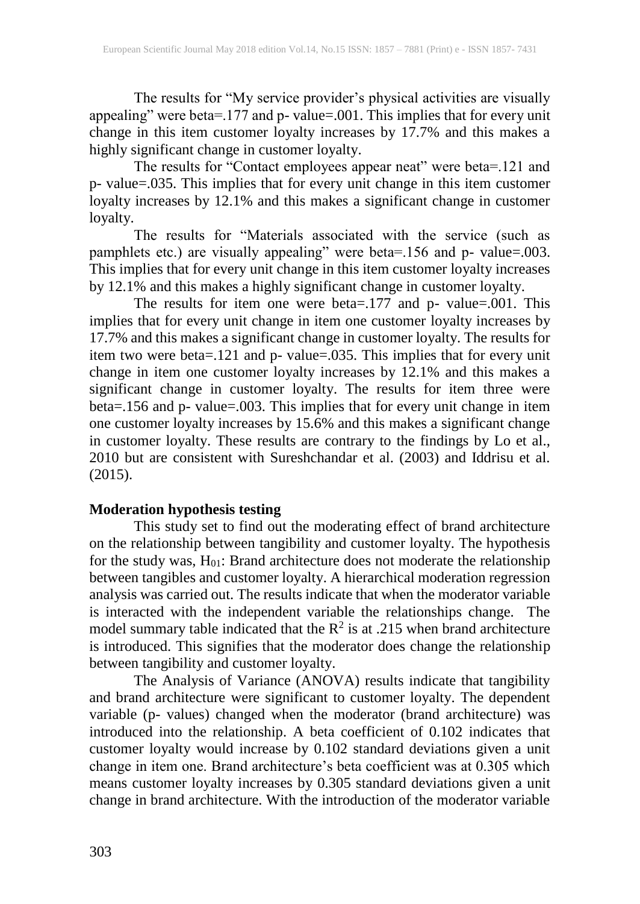The results for "My service provider's physical activities are visually appealing" were beta=.177 and p- value=.001. This implies that for every unit change in this item customer loyalty increases by 17.7% and this makes a highly significant change in customer loyalty.

The results for "Contact employees appear neat" were beta=.121 and p- value=.035. This implies that for every unit change in this item customer loyalty increases by 12.1% and this makes a significant change in customer loyalty.

The results for "Materials associated with the service (such as pamphlets etc.) are visually appealing" were beta=.156 and p- value=.003. This implies that for every unit change in this item customer loyalty increases by 12.1% and this makes a highly significant change in customer loyalty.

The results for item one were beta=.177 and p- value=.001. This implies that for every unit change in item one customer loyalty increases by 17.7% and this makes a significant change in customer loyalty. The results for item two were beta=.121 and p- value=.035. This implies that for every unit change in item one customer loyalty increases by 12.1% and this makes a significant change in customer loyalty. The results for item three were beta=.156 and p- value=.003. This implies that for every unit change in item one customer loyalty increases by 15.6% and this makes a significant change in customer loyalty. These results are contrary to the findings by Lo et al., 2010 but are consistent with Sureshchandar et al. (2003) and Iddrisu et al. (2015).

#### **Moderation hypothesis testing**

This study set to find out the moderating effect of brand architecture on the relationship between tangibility and customer loyalty. The hypothesis for the study was,  $H<sub>01</sub>$ : Brand architecture does not moderate the relationship between tangibles and customer loyalty. A hierarchical moderation regression analysis was carried out. The results indicate that when the moderator variable is interacted with the independent variable the relationships change. The model summary table indicated that the  $R^2$  is at .215 when brand architecture is introduced. This signifies that the moderator does change the relationship between tangibility and customer loyalty.

The Analysis of Variance (ANOVA) results indicate that tangibility and brand architecture were significant to customer loyalty. The dependent variable (p- values) changed when the moderator (brand architecture) was introduced into the relationship. A beta coefficient of 0.102 indicates that customer loyalty would increase by 0.102 standard deviations given a unit change in item one. Brand architecture's beta coefficient was at 0.305 which means customer loyalty increases by 0.305 standard deviations given a unit change in brand architecture. With the introduction of the moderator variable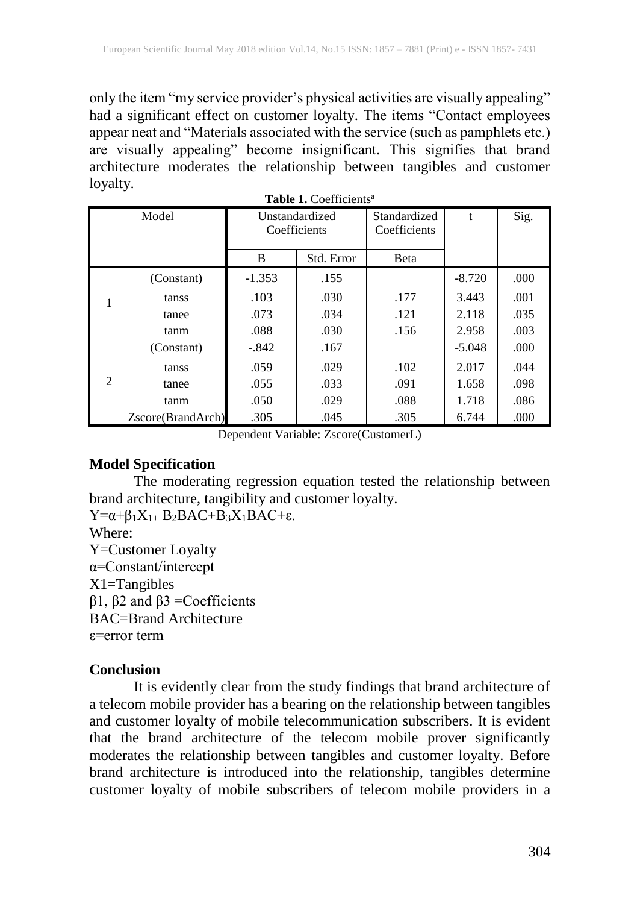only the item "my service provider's physical activities are visually appealing" had a significant effect on customer loyalty. The items "Contact employees appear neat and "Materials associated with the service (such as pamphlets etc.) are visually appealing" become insignificant. This signifies that brand architecture moderates the relationship between tangibles and customer loyalty.

| Table 1. Coefficients <sup>a</sup> |                   |                                |            |                              |              |      |
|------------------------------------|-------------------|--------------------------------|------------|------------------------------|--------------|------|
| Model                              |                   | Unstandardized<br>Coefficients |            | Standardized<br>Coefficients | $\mathbf{t}$ | Sig. |
|                                    |                   | B                              | Std. Error | <b>B</b> eta                 |              |      |
|                                    | (Constant)        | $-1.353$                       | .155       |                              | $-8.720$     | .000 |
|                                    | tanss             | .103                           | .030       | .177                         | 3.443        | .001 |
|                                    | tanee             | .073                           | .034       | .121                         | 2.118        | .035 |
|                                    | tanm              | .088                           | .030       | .156                         | 2.958        | .003 |
| $\mathcal{D}_{\mathcal{L}}$        | (Constant)        | $-.842$                        | .167       |                              | $-5.048$     | .000 |
|                                    | tanss             | .059                           | .029       | .102                         | 2.017        | .044 |
|                                    | tanee             | .055                           | .033       | .091                         | 1.658        | .098 |
|                                    | tanm              | .050                           | .029       | .088                         | 1.718        | .086 |
|                                    | Zscore(BrandArch) | .305                           | .045       | .305                         | 6.744        | .000 |

Dependent Variable: Zscore(CustomerL)

# **Model Specification**

The moderating regression equation tested the relationship between brand architecture, tangibility and customer loyalty.

 $Y=\alpha+\beta_1X_{1+}B_2BAC+B_3X_1BAC+\epsilon.$ Where: Y=Customer Loyalty α=Constant/intercept X1=Tangibles  $β1, β2$  and  $β3$  = Coefficients BAC=Brand Architecture ε=error term

# **Conclusion**

It is evidently clear from the study findings that brand architecture of a telecom mobile provider has a bearing on the relationship between tangibles and customer loyalty of mobile telecommunication subscribers. It is evident that the brand architecture of the telecom mobile prover significantly moderates the relationship between tangibles and customer loyalty. Before brand architecture is introduced into the relationship, tangibles determine customer loyalty of mobile subscribers of telecom mobile providers in a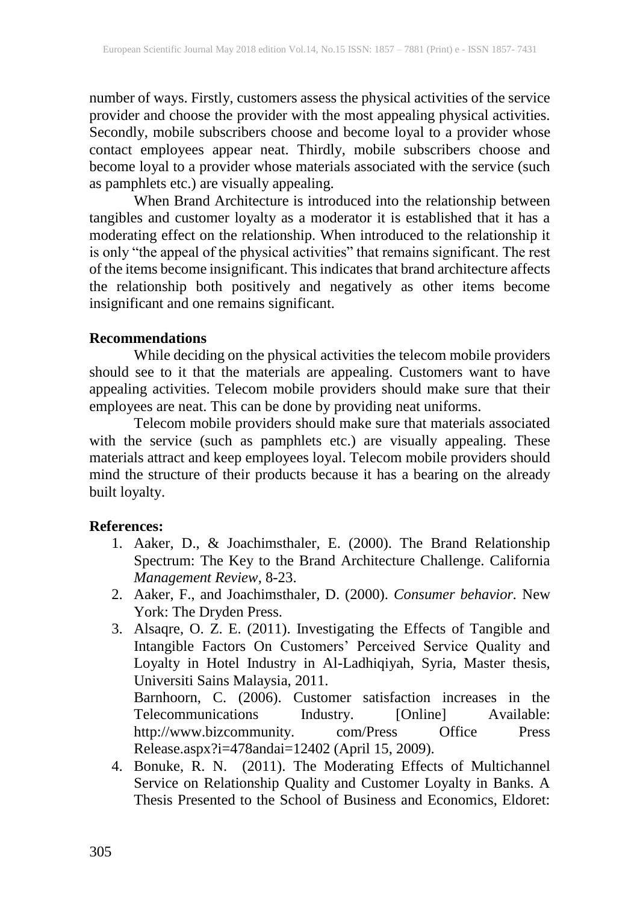number of ways. Firstly, customers assess the physical activities of the service provider and choose the provider with the most appealing physical activities. Secondly, mobile subscribers choose and become loyal to a provider whose contact employees appear neat. Thirdly, mobile subscribers choose and become loyal to a provider whose materials associated with the service (such as pamphlets etc.) are visually appealing.

When Brand Architecture is introduced into the relationship between tangibles and customer loyalty as a moderator it is established that it has a moderating effect on the relationship. When introduced to the relationship it is only "the appeal of the physical activities" that remains significant. The rest of the items become insignificant. This indicates that brand architecture affects the relationship both positively and negatively as other items become insignificant and one remains significant.

#### **Recommendations**

While deciding on the physical activities the telecom mobile providers should see to it that the materials are appealing. Customers want to have appealing activities. Telecom mobile providers should make sure that their employees are neat. This can be done by providing neat uniforms.

Telecom mobile providers should make sure that materials associated with the service (such as pamphlets etc.) are visually appealing. These materials attract and keep employees loyal. Telecom mobile providers should mind the structure of their products because it has a bearing on the already built loyalty.

#### **References:**

- 1. Aaker, D., & Joachimsthaler, E. (2000). The Brand Relationship Spectrum: The Key to the Brand Architecture Challenge. California *Management Review*, 8-23.
- 2. Aaker, F., and Joachimsthaler, D. (2000). *Consumer behavior.* New York: The Dryden Press.
- 3. Alsaqre, O. Z. E. (2011). Investigating the Effects of Tangible and Intangible Factors On Customers' Perceived Service Quality and Loyalty in Hotel Industry in Al-Ladhiqiyah, Syria, Master thesis, Universiti Sains Malaysia, 2011. Barnhoorn, C. (2006). Customer satisfaction increases in the Telecommunications Industry. [Online] Available: http://www.bizcommunity. com/Press Office Press Release.aspx?i=478andai=12402 (April 15, 2009).
- 4. Bonuke, R. N. (2011). The Moderating Effects of Multichannel Service on Relationship Quality and Customer Loyalty in Banks. A Thesis Presented to the School of Business and Economics, Eldoret: